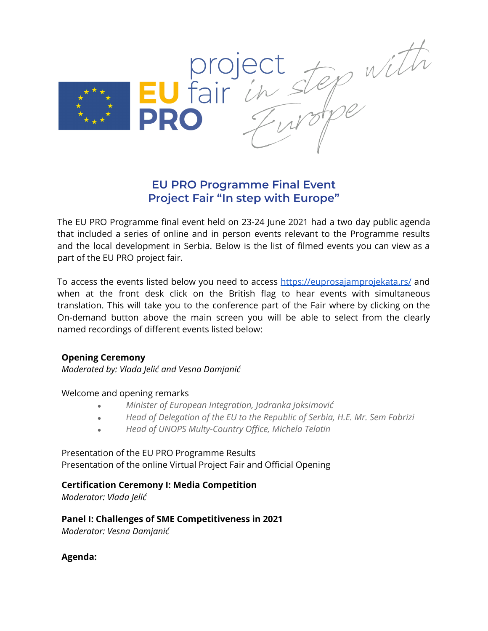

# **EU PRO Programme Final Event Project Fair "In step with Europe"**

The EU PRO Programme final event held on 23-24 June 2021 had a two day public agenda that included a series of online and in person events relevant to the Programme results and the local development in Serbia. Below is the list of filmed events you can view as a part of the EU PRO project fair.

To access the events listed below you need to access <https://euprosajamprojekata.rs/> and when at the front desk click on the British flag to hear events with simultaneous translation. This will take you to the conference part of the Fair where by clicking on the On-demand button above the main screen you will be able to select from the clearly named recordings of different events listed below:

#### **Opening Ceremony**

*Moderated by: Vlada Jelić and Vesna Damjanić*

Welcome and opening remarks

- *● Minister of European Integration, Jadranka Joksimović*
- *● Head of Delegation of the EU to the Republic of Serbia, H.E. Mr. Sem Fabrizi*
- *● Head of UNOPS Multy-Country Office, Michela Telatin*

## Presentation of the EU PRO Programme Results Presentation of the online Virtual Project Fair and Official Opening

## **Certification Ceremony I: Media Competition**

*Moderator: Vlada Jelić*

## **Panel I: Challenges of SME Competitiveness in 2021**

*Moderator: Vesna Damjanić*

**Agenda:**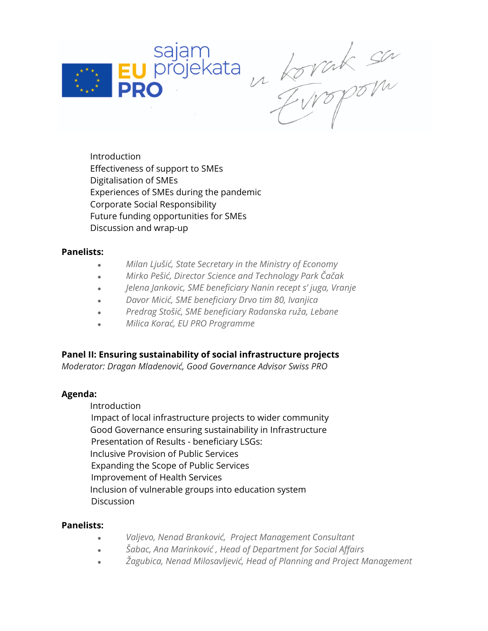

u korrak sa

Introduction Effectiveness of support to SMEs Digitalisation of SMEs Experiences of SMEs during the pandemic Corporate Social Responsibility Future funding opportunities for SMEs Discussion and wrap-up

## **Panelists:**

- *● Milan Ljušić, State Secretary in the Ministry of Economy*
- *● Mirko Pešić, Director Science and Technology Park Čačak*
- *● Jelena Jankovic, SME beneficiary Nanin recept s' juga, Vranje*
- *● Davor Micić, SME beneficiary Drvo tim 80, Ivanjica*
- *● Predrag Stošić, SME beneficiary Radanska ruža, Lebane*
- *● Milica Korać, EU PRO Programme*

**Panel II: Ensuring sustainability of social infrastructure projects**

*Moderator: Dragan Mladenović, Good Governance Advisor Swiss PRO*

#### **Agenda:**

Introduction

Impact of local infrastructure projects to wider community Good Governance ensuring sustainability in Infrastructure Presentation of Results - beneficiary LSGs: Inclusive Provision of Public Services Expanding the Scope of Public Services Improvement of Health Services Inclusion of vulnerable groups into education system Discussion

## **Panelists:**

- *● Valjevo, Nenad Branković, Project Management Consultant*
- *● Šabac, Ana Marinković , Head of Department for Social Affairs*
- *● Žagubica, Nenad Milosavljević, Head of Planning and Project Management*